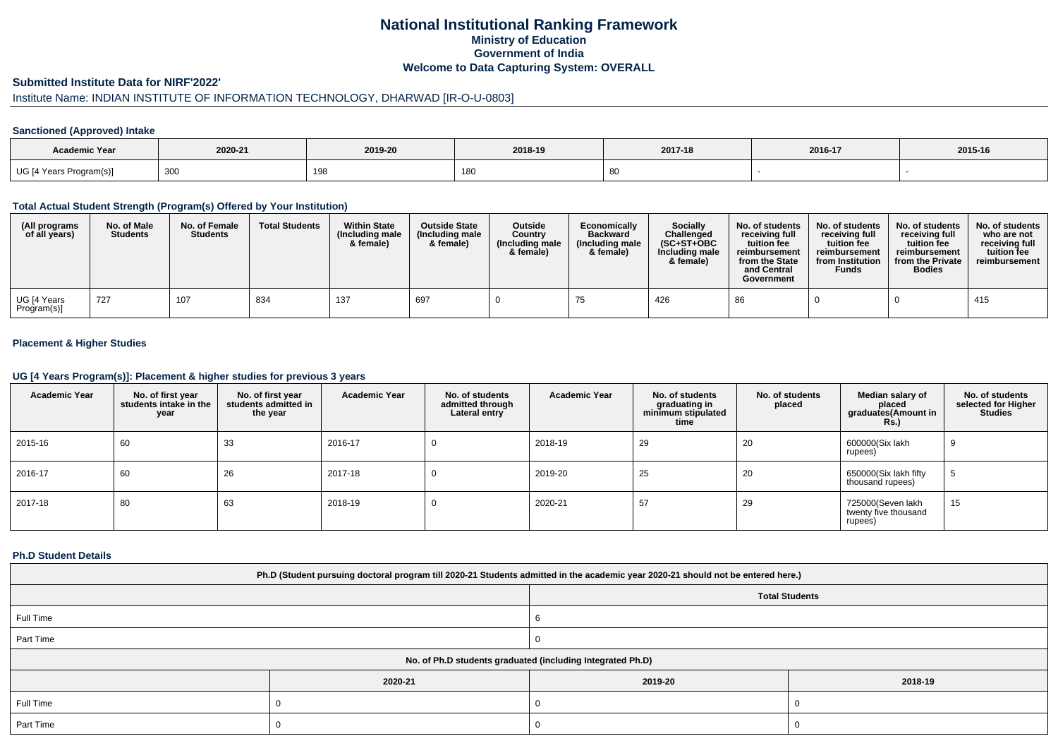# **National Institutional Ranking FrameworkMinistry of Education Government of IndiaWelcome to Data Capturing System: OVERALL**

#### **Submitted Institute Data for NIRF'2022'**

# Institute Name: INDIAN INSTITUTE OF INFORMATION TECHNOLOGY, DHARWAD [IR-O-U-0803]

### **Sanctioned (Approved) Intake**

| Academic Year           | 2020-21 | 2019-20 | 2018-19      | 2017-18 | 2016-17 | 2015-16 |
|-------------------------|---------|---------|--------------|---------|---------|---------|
| UG [4 Years Program(s)] | 300     | 198     | 180<br>1 U J |         |         |         |

#### **Total Actual Student Strength (Program(s) Offered by Your Institution)**

| (All programs<br>of all years) | No. of Male<br><b>Students</b> | No. of Female<br><b>Students</b> | <b>Total Students</b> | <b>Within State</b><br>(Including male<br>& female) | <b>Outside State</b><br>(Including male<br>& female) | <b>Outside</b><br>Country<br>(Including male<br>& female) | Economically<br><b>Backward</b><br>(Including male<br>& female) | <b>Socially</b><br>Challenged<br>$(SC+ST+OBC)$<br>Including male<br>& female) | No. of students<br>receivina full<br>tuition fee<br>reimbursement<br>from the State<br>and Central<br>Government | No. of students<br>receiving full<br>tuition fee<br>reimbursement<br>from Institution<br><b>Funds</b> | No. of students<br>receiving full<br>tuition fee<br>reimbursement<br>from the Private<br><b>Bodies</b> | No. of students<br>who are not<br>receiving full<br>tuition fee<br>reimbursement |
|--------------------------------|--------------------------------|----------------------------------|-----------------------|-----------------------------------------------------|------------------------------------------------------|-----------------------------------------------------------|-----------------------------------------------------------------|-------------------------------------------------------------------------------|------------------------------------------------------------------------------------------------------------------|-------------------------------------------------------------------------------------------------------|--------------------------------------------------------------------------------------------------------|----------------------------------------------------------------------------------|
| UG [4 Years<br>Program(s)]     | . 727                          | 107                              | 834                   | 137                                                 | 697                                                  |                                                           |                                                                 | 426                                                                           | 86                                                                                                               |                                                                                                       |                                                                                                        | 415                                                                              |

### **Placement & Higher Studies**

#### **UG [4 Years Program(s)]: Placement & higher studies for previous 3 years**

| <b>Academic Year</b> | No. of first year<br>students intake in the<br>year | No. of first year<br>students admitted in<br>the year | <b>Academic Year</b> | No. of students<br>admitted through<br>Lateral entry | <b>Academic Year</b> | No. of students<br>graduating in<br>minimum stipulated<br>time | No. of students<br>placed | Median salary of<br>placed<br>graduates(Amount in<br><b>Rs.)</b> | No. of students<br>selected for Higher<br><b>Studies</b> |
|----------------------|-----------------------------------------------------|-------------------------------------------------------|----------------------|------------------------------------------------------|----------------------|----------------------------------------------------------------|---------------------------|------------------------------------------------------------------|----------------------------------------------------------|
| 2015-16              | 60                                                  | 33                                                    | 2016-17              | v                                                    | 2018-19              | 29                                                             | 20                        | 600000(Six lakh<br>rupees)                                       | 9                                                        |
| 2016-17              | 60                                                  | 26                                                    | 2017-18              | 0                                                    | 2019-20              | 25                                                             | 20                        | 650000(Six lakh fifty<br>thousand rupees)                        | 5                                                        |
| 2017-18              | 80                                                  | 63                                                    | 2018-19              | 0                                                    | 2020-21              | 57                                                             | 29                        | 725000(Seven lakh<br>twenty five thousand<br>rupees)             | 15                                                       |

#### **Ph.D Student Details**

| Ph.D (Student pursuing doctoral program till 2020-21 Students admitted in the academic year 2020-21 should not be entered here.) |         |         |         |  |  |
|----------------------------------------------------------------------------------------------------------------------------------|---------|---------|---------|--|--|
| <b>Total Students</b>                                                                                                            |         |         |         |  |  |
| Full Time                                                                                                                        |         |         |         |  |  |
| Part Time                                                                                                                        |         |         |         |  |  |
| No. of Ph.D students graduated (including Integrated Ph.D)                                                                       |         |         |         |  |  |
|                                                                                                                                  | 2020-21 | 2019-20 | 2018-19 |  |  |
| Full Time                                                                                                                        |         |         |         |  |  |
| Part Time                                                                                                                        |         |         |         |  |  |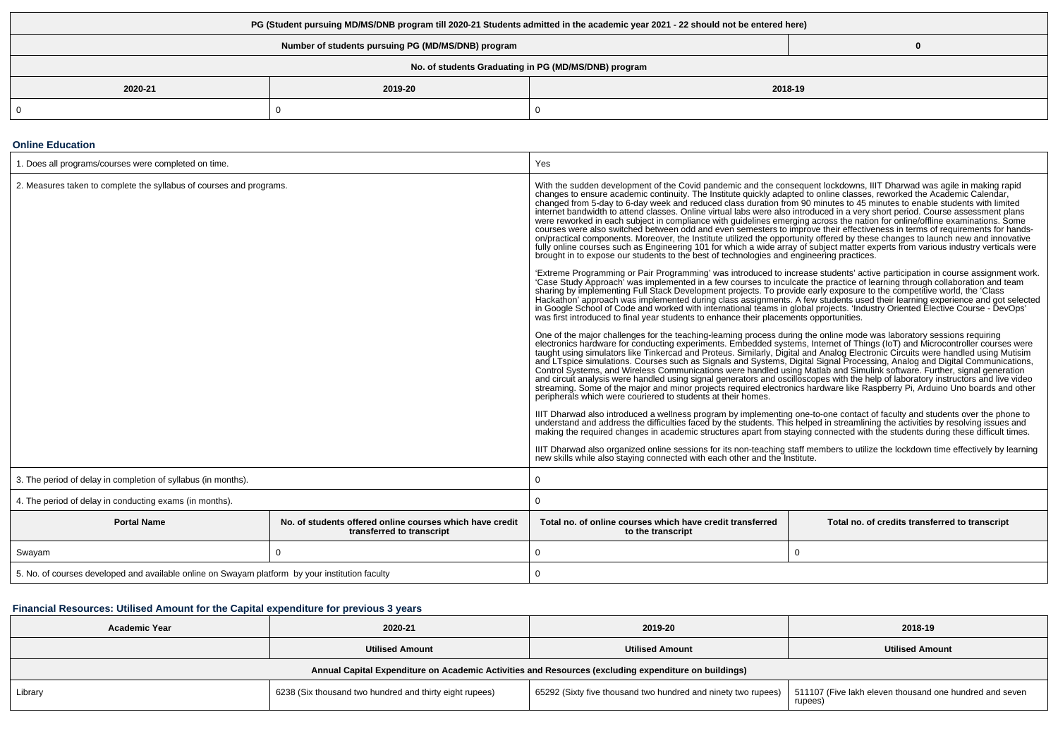| PG (Student pursuing MD/MS/DNB program till 2020-21 Students admitted in the academic year 2021 - 22 should not be entered here) |         |         |  |  |  |
|----------------------------------------------------------------------------------------------------------------------------------|---------|---------|--|--|--|
| Number of students pursuing PG (MD/MS/DNB) program                                                                               |         |         |  |  |  |
| No. of students Graduating in PG (MD/MS/DNB) program                                                                             |         |         |  |  |  |
| 2020-21                                                                                                                          | 2019-20 | 2018-19 |  |  |  |
|                                                                                                                                  |         |         |  |  |  |

#### **Online Education**

| 1. Does all programs/courses were completed on time.                                            |                                                                                       | Yes                                                                                                                                                                                                                                                                                                                                                                                                                                                                                                                                                                                                                                                                                                                                                                                                                                                                                                                                                                                                                                                                                                                                                                                                                                                                                                                                                                                                                                                                                                                                                                                                                                                                                                                                                                                                                                                                                                                                                                                                                                                                                                                                                                                                                                                                                                                                                                                                                                                                                                                                                                                                                                                                                                                                                                                                                                                                                                                                                                                                                                                                                                                                                                                                                                                                     |                                                                                                                                                                                                                                                                |  |
|-------------------------------------------------------------------------------------------------|---------------------------------------------------------------------------------------|-------------------------------------------------------------------------------------------------------------------------------------------------------------------------------------------------------------------------------------------------------------------------------------------------------------------------------------------------------------------------------------------------------------------------------------------------------------------------------------------------------------------------------------------------------------------------------------------------------------------------------------------------------------------------------------------------------------------------------------------------------------------------------------------------------------------------------------------------------------------------------------------------------------------------------------------------------------------------------------------------------------------------------------------------------------------------------------------------------------------------------------------------------------------------------------------------------------------------------------------------------------------------------------------------------------------------------------------------------------------------------------------------------------------------------------------------------------------------------------------------------------------------------------------------------------------------------------------------------------------------------------------------------------------------------------------------------------------------------------------------------------------------------------------------------------------------------------------------------------------------------------------------------------------------------------------------------------------------------------------------------------------------------------------------------------------------------------------------------------------------------------------------------------------------------------------------------------------------------------------------------------------------------------------------------------------------------------------------------------------------------------------------------------------------------------------------------------------------------------------------------------------------------------------------------------------------------------------------------------------------------------------------------------------------------------------------------------------------------------------------------------------------------------------------------------------------------------------------------------------------------------------------------------------------------------------------------------------------------------------------------------------------------------------------------------------------------------------------------------------------------------------------------------------------------------------------------------------------------------------------------------------------|----------------------------------------------------------------------------------------------------------------------------------------------------------------------------------------------------------------------------------------------------------------|--|
| 2. Measures taken to complete the syllabus of courses and programs.                             |                                                                                       | With the sudden development of the Covid pandemic and the consequent lockdowns, IIIT Dharwad was agile in making rapid<br>changes to ensure academic continuity. The Institute quickly adapted to online classes, reworked the Academic Calendar,<br>changed from 5-day to 6-day week and reduced class duration from 90 minutes to 45 minutes to enable students with limited<br>internet bandwidth to attend classes. Online virtual labs were also introduced in a very short period. Course assessment plans<br>were reworked in each subject in compliance with guidelines emerging across the nation for online/offline examinations. Some<br>courses were also switched between odd and even semesters to improve their effectiveness in terms of requirements for hands-<br>on/practical components. Moreover, the Institute utilized the opportunity offered by these changes to launch new and innovative<br>fully online courses such as Engineering 101 for which a wide array of subject matter experts from various industry verticals were<br>brought in to expose our students to the best of technologies and engineering practices.<br>'Case Study Approach' was implemented in a few courses to inculcate the practice of learning through collaboration and team<br>sharing by implementing Full Stack Development projects. To provide early exposure to the competitive world, the 'Class<br>in Google School of Code and worked with international teams in global projects. 'Industry Oriented Elective Course - DevOps'<br>was first introduced to final year students to enhance their placements opportunities.<br>One of the major challenges for the teaching-learning process during the online mode was laboratory sessions requiring<br>electronics hardware for conducting experiments. Embedded systems, Internet of Things (IoT) and Microcontroller courses were<br>taught using simulators like Tinkercad and Proteus. Similarly, Digital and Analog Electronic Circuits were handled using Mutisim<br>and LTspice simulations. Courses such as Signals and Systems, Digital Signal Processing, Analog and Digital Communications,<br>Control Systems, and Wireless Communications were handled using Matlab and Simulink software. Further, signal generation<br>and circuit analysis were handled using signal generators and oscilloscopes with the help of laboratory instructors and live video<br>streaming. Some of the major and minor projects required electronics hardware like Raspberry Pi, Arduino Uno boards and other<br>peripherals which were couriered to students at their homes.<br>IIIT Dharwad also introduced a wellness program by implementing one-to-one contact of faculty and students over the phone to<br>understand and address the difficulties faced by the students. This helped in streamlining the activities by resolving issues and<br>making the required changes in academic structures apart from staying connected with the students during these difficult times.<br>IIIT Dharwad also organized online sessions for its non-teaching staff members to utilize the lockdown time effectively by learning<br>new skills while also staying connected with each other and the Institute. | 'Extreme Programming or Pair Programming' was introduced to increase students' active participation in course assignment work.<br>Hackathon' approach was implemented during class assignments. A few students used their learning experience and got selected |  |
| 3. The period of delay in completion of syllabus (in months).                                   |                                                                                       | $\Omega$                                                                                                                                                                                                                                                                                                                                                                                                                                                                                                                                                                                                                                                                                                                                                                                                                                                                                                                                                                                                                                                                                                                                                                                                                                                                                                                                                                                                                                                                                                                                                                                                                                                                                                                                                                                                                                                                                                                                                                                                                                                                                                                                                                                                                                                                                                                                                                                                                                                                                                                                                                                                                                                                                                                                                                                                                                                                                                                                                                                                                                                                                                                                                                                                                                                                |                                                                                                                                                                                                                                                                |  |
| 4. The period of delay in conducting exams (in months).                                         |                                                                                       | 0                                                                                                                                                                                                                                                                                                                                                                                                                                                                                                                                                                                                                                                                                                                                                                                                                                                                                                                                                                                                                                                                                                                                                                                                                                                                                                                                                                                                                                                                                                                                                                                                                                                                                                                                                                                                                                                                                                                                                                                                                                                                                                                                                                                                                                                                                                                                                                                                                                                                                                                                                                                                                                                                                                                                                                                                                                                                                                                                                                                                                                                                                                                                                                                                                                                                       |                                                                                                                                                                                                                                                                |  |
| <b>Portal Name</b>                                                                              | No. of students offered online courses which have credit<br>transferred to transcript | Total no. of online courses which have credit transferred<br>to the transcript                                                                                                                                                                                                                                                                                                                                                                                                                                                                                                                                                                                                                                                                                                                                                                                                                                                                                                                                                                                                                                                                                                                                                                                                                                                                                                                                                                                                                                                                                                                                                                                                                                                                                                                                                                                                                                                                                                                                                                                                                                                                                                                                                                                                                                                                                                                                                                                                                                                                                                                                                                                                                                                                                                                                                                                                                                                                                                                                                                                                                                                                                                                                                                                          | Total no. of credits transferred to transcript                                                                                                                                                                                                                 |  |
| Swayam                                                                                          | $\Omega$                                                                              | 0                                                                                                                                                                                                                                                                                                                                                                                                                                                                                                                                                                                                                                                                                                                                                                                                                                                                                                                                                                                                                                                                                                                                                                                                                                                                                                                                                                                                                                                                                                                                                                                                                                                                                                                                                                                                                                                                                                                                                                                                                                                                                                                                                                                                                                                                                                                                                                                                                                                                                                                                                                                                                                                                                                                                                                                                                                                                                                                                                                                                                                                                                                                                                                                                                                                                       | $\Omega$                                                                                                                                                                                                                                                       |  |
| 5. No. of courses developed and available online on Swayam platform by your institution faculty |                                                                                       | 0                                                                                                                                                                                                                                                                                                                                                                                                                                                                                                                                                                                                                                                                                                                                                                                                                                                                                                                                                                                                                                                                                                                                                                                                                                                                                                                                                                                                                                                                                                                                                                                                                                                                                                                                                                                                                                                                                                                                                                                                                                                                                                                                                                                                                                                                                                                                                                                                                                                                                                                                                                                                                                                                                                                                                                                                                                                                                                                                                                                                                                                                                                                                                                                                                                                                       |                                                                                                                                                                                                                                                                |  |

## **Financial Resources: Utilised Amount for the Capital expenditure for previous 3 years**

| Academic Year                                                                                        | 2020-21                                                 | 2019-20                                                       | 2018-19                                                            |  |  |  |
|------------------------------------------------------------------------------------------------------|---------------------------------------------------------|---------------------------------------------------------------|--------------------------------------------------------------------|--|--|--|
|                                                                                                      | <b>Utilised Amount</b>                                  | <b>Utilised Amount</b>                                        | <b>Utilised Amount</b>                                             |  |  |  |
| Annual Capital Expenditure on Academic Activities and Resources (excluding expenditure on buildings) |                                                         |                                                               |                                                                    |  |  |  |
| Library                                                                                              | 6238 (Six thousand two hundred and thirty eight rupees) | 65292 (Sixty five thousand two hundred and ninety two rupees) | 511107 (Five lakh eleven thousand one hundred and seven<br>rupees) |  |  |  |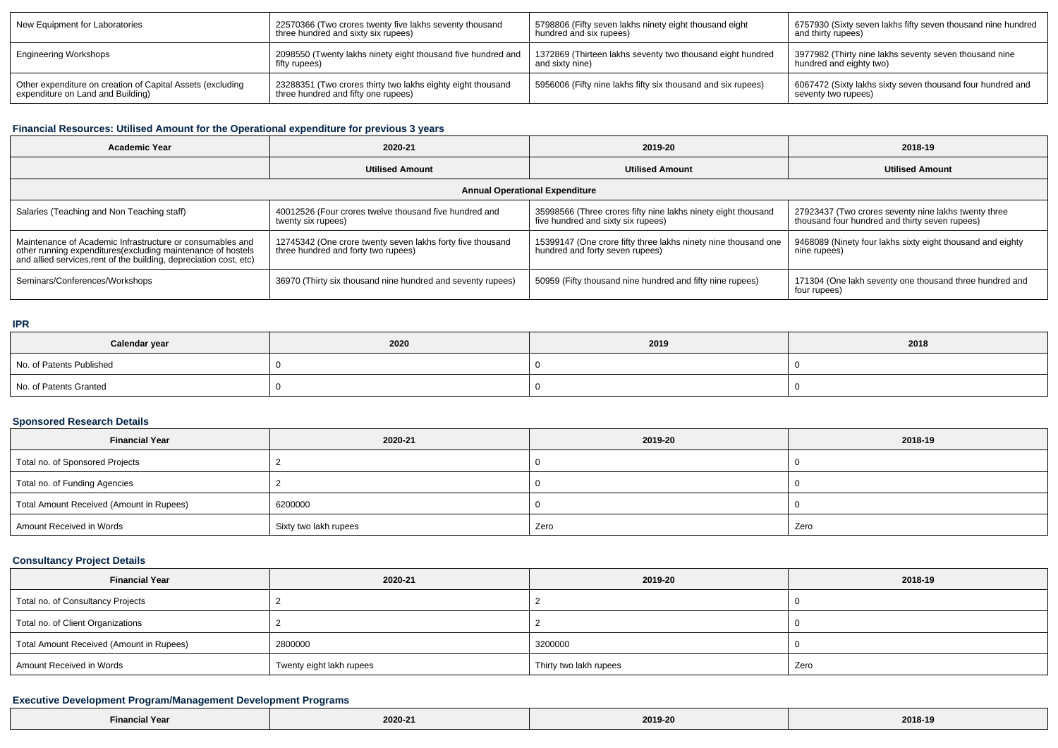| New Equipment for Laboratories                             | 22570366 (Two crores twenty five lakhs seventy thousand      | 5798806 (Fifty seven lakhs ninety eight thousand eight       | 6757930 (Sixty seven lakhs fifty seven thousand nine hundred |
|------------------------------------------------------------|--------------------------------------------------------------|--------------------------------------------------------------|--------------------------------------------------------------|
|                                                            | three hundred and sixty six rupees)                          | hundred and six rupees)                                      | and thirty rupees)                                           |
| <b>Engineering Workshops</b>                               | 2098550 (Twenty lakhs ninety eight thousand five hundred and | 1372869 (Thirteen lakhs seventy two thousand eight hundred   | 3977982 (Thirty nine lakhs seventy seven thousand nine       |
|                                                            | fifty rupees)                                                | and sixty nine)                                              | hundred and eighty two)                                      |
| Other expenditure on creation of Capital Assets (excluding | 23288351 (Two crores thirty two lakhs eighty eight thousand  | 5956006 (Fifty nine lakhs fifty six thousand and six rupees) | 6067472 (Sixty lakhs sixty seven thousand four hundred and   |
| expenditure on Land and Building)                          | three hundred and fifty one rupees)                          |                                                              | seventy two rupees)                                          |

## **Financial Resources: Utilised Amount for the Operational expenditure for previous 3 years**

| <b>Academic Year</b>                                                                                                                                                                            | 2020-21                                                                                           | 2019-20                                                                                             | 2018-19                                                                                                |  |  |  |
|-------------------------------------------------------------------------------------------------------------------------------------------------------------------------------------------------|---------------------------------------------------------------------------------------------------|-----------------------------------------------------------------------------------------------------|--------------------------------------------------------------------------------------------------------|--|--|--|
|                                                                                                                                                                                                 | <b>Utilised Amount</b>                                                                            | <b>Utilised Amount</b>                                                                              | <b>Utilised Amount</b>                                                                                 |  |  |  |
| <b>Annual Operational Expenditure</b>                                                                                                                                                           |                                                                                                   |                                                                                                     |                                                                                                        |  |  |  |
| Salaries (Teaching and Non Teaching staff)                                                                                                                                                      | 40012526 (Four crores twelve thousand five hundred and<br>twenty six rupees)                      | 35998566 (Three crores fifty nine lakhs ninety eight thousand<br>five hundred and sixty six rupees) | 27923437 (Two crores seventy nine lakhs twenty three<br>thousand four hundred and thirty seven rupees) |  |  |  |
| Maintenance of Academic Infrastructure or consumables and<br>other running expenditures (excluding maintenance of hostels<br>and allied services, rent of the building, depreciation cost, etc) | 12745342 (One crore twenty seven lakhs forty five thousand<br>three hundred and forty two rupees) | 15399147 (One crore fifty three lakhs ninety nine thousand one<br>hundred and forty seven rupees)   | 9468089 (Ninety four lakhs sixty eight thousand and eighty<br>nine rupees)                             |  |  |  |
| Seminars/Conferences/Workshops                                                                                                                                                                  | 36970 (Thirty six thousand nine hundred and seventy rupees)                                       | 50959 (Fifty thousand nine hundred and fifty nine rupees)                                           | 171304 (One lakh seventy one thousand three hundred and<br>four rupees)                                |  |  |  |

### **IPR**

| Calendar year            | 2020 | 2019 | 2018 |
|--------------------------|------|------|------|
| No. of Patents Published |      |      |      |
| No. of Patents Granted   |      |      |      |

### **Sponsored Research Details**

| <b>Financial Year</b>                    | 2020-21               | 2019-20 | 2018-19 |
|------------------------------------------|-----------------------|---------|---------|
| Total no. of Sponsored Projects          |                       |         |         |
| Total no. of Funding Agencies            |                       |         |         |
| Total Amount Received (Amount in Rupees) | 6200000               |         |         |
| Amount Received in Words                 | Sixty two lakh rupees | Zero    | Zero    |

## **Consultancy Project Details**

| <b>Financial Year</b>                    | 2020-21                  | 2019-20                | 2018-19 |
|------------------------------------------|--------------------------|------------------------|---------|
| Total no. of Consultancy Projects        |                          |                        |         |
| Total no. of Client Organizations        |                          |                        |         |
| Total Amount Received (Amount in Rupees) | 2800000                  | 3200000                |         |
| Amount Received in Words                 | Twenty eight lakh rupees | Thirty two lakh rupees | Zero    |

## **Executive Development Program/Management Development Programs**

| .<br><b>Financial Year</b> | 2020-2 | 2019-20 | 2018-19 |
|----------------------------|--------|---------|---------|
|                            |        |         |         |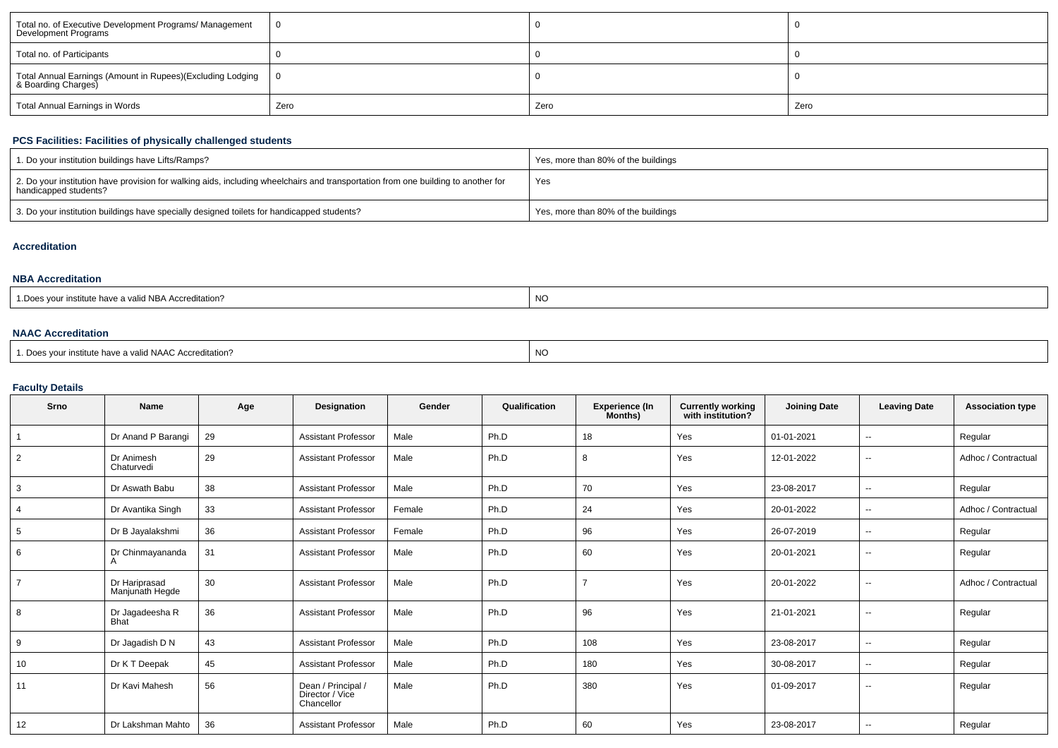| Total no. of Executive Development Programs/ Management<br>Development Programs   |      |      |      |
|-----------------------------------------------------------------------------------|------|------|------|
| Total no. of Participants                                                         |      |      |      |
| Total Annual Earnings (Amount in Rupees)(Excluding Lodging<br>& Boarding Charges) |      |      |      |
| Total Annual Earnings in Words                                                    | Zero | Zero | Zero |

## **PCS Facilities: Facilities of physically challenged students**

| 1. Do your institution buildings have Lifts/Ramps?                                                                                                         | Yes, more than 80% of the buildings |
|------------------------------------------------------------------------------------------------------------------------------------------------------------|-------------------------------------|
| 2. Do your institution have provision for walking aids, including wheelchairs and transportation from one building to another for<br>handicapped students? | Yes                                 |
| 3. Do your institution buildings have specially designed toilets for handicapped students?                                                                 | Yes, more than 80% of the buildings |

### **Accreditation**

### **NBA Accreditation**

| institute have a valid NBA Accreditation? | <b>NC</b> |
|-------------------------------------------|-----------|
|-------------------------------------------|-----------|

## **NAAC Accreditation**

| 1. Does your institute have a valid NAAC Accreditation? | 'NO |
|---------------------------------------------------------|-----|
|---------------------------------------------------------|-----|

## **Faculty Details**

| Srno | <b>Name</b>                      | Age | <b>Designation</b>                                  | Gender | Qualification | <b>Experience (In</b><br>Months) | Currently working<br>with institution? | <b>Joining Date</b> | <b>Leaving Date</b>      | <b>Association type</b> |
|------|----------------------------------|-----|-----------------------------------------------------|--------|---------------|----------------------------------|----------------------------------------|---------------------|--------------------------|-------------------------|
|      | Dr Anand P Barangi               | 29  | <b>Assistant Professor</b>                          | Male   | Ph.D          | 18                               | Yes                                    | 01-01-2021          | $\overline{\phantom{a}}$ | Regular                 |
| 2    | Dr Animesh<br>Chaturvedi         | 29  | <b>Assistant Professor</b>                          | Male   | Ph.D          | 8                                | Yes                                    | 12-01-2022          | $\overline{\phantom{a}}$ | Adhoc / Contractual     |
| 3    | Dr Aswath Babu                   | 38  | <b>Assistant Professor</b>                          | Male   | Ph.D          | 70                               | Yes                                    | 23-08-2017          | $\sim$                   | Regular                 |
|      | Dr Avantika Singh                | 33  | <b>Assistant Professor</b>                          | Female | Ph.D          | 24                               | Yes                                    | 20-01-2022          | $\overline{\phantom{a}}$ | Adhoc / Contractual     |
| 5    | Dr B Jayalakshmi                 | 36  | <b>Assistant Professor</b>                          | Female | Ph.D          | 96                               | Yes                                    | 26-07-2019          | $\overline{\phantom{a}}$ | Regular                 |
| 6    | Dr Chinmayananda<br>A            | 31  | <b>Assistant Professor</b>                          | Male   | Ph.D          | 60                               | Yes                                    | 20-01-2021          | $\sim$                   | Regular                 |
|      | Dr Hariprasad<br>Manjunath Hegde | 30  | <b>Assistant Professor</b>                          | Male   | Ph.D          |                                  | Yes                                    | 20-01-2022          | $\overline{\phantom{a}}$ | Adhoc / Contractual     |
| 8    | Dr Jagadeesha R<br><b>Bhat</b>   | 36  | <b>Assistant Professor</b>                          | Male   | Ph.D          | 96                               | Yes                                    | 21-01-2021          | $\overline{\phantom{a}}$ | Regular                 |
| 9    | Dr Jagadish D N                  | 43  | <b>Assistant Professor</b>                          | Male   | Ph.D          | 108                              | Yes                                    | 23-08-2017          | $\overline{\phantom{a}}$ | Regular                 |
| 10   | Dr K T Deepak                    | 45  | <b>Assistant Professor</b>                          | Male   | Ph.D          | 180                              | Yes                                    | 30-08-2017          | $\sim$                   | Regular                 |
| 11   | Dr Kavi Mahesh                   | 56  | Dean / Principal /<br>Director / Vice<br>Chancellor | Male   | Ph.D          | 380                              | Yes                                    | 01-09-2017          | $\sim$                   | Regular                 |
| 12   | Dr Lakshman Mahto                | 36  | <b>Assistant Professor</b>                          | Male   | Ph.D          | 60                               | Yes                                    | 23-08-2017          | $\overline{\phantom{a}}$ | Regular                 |